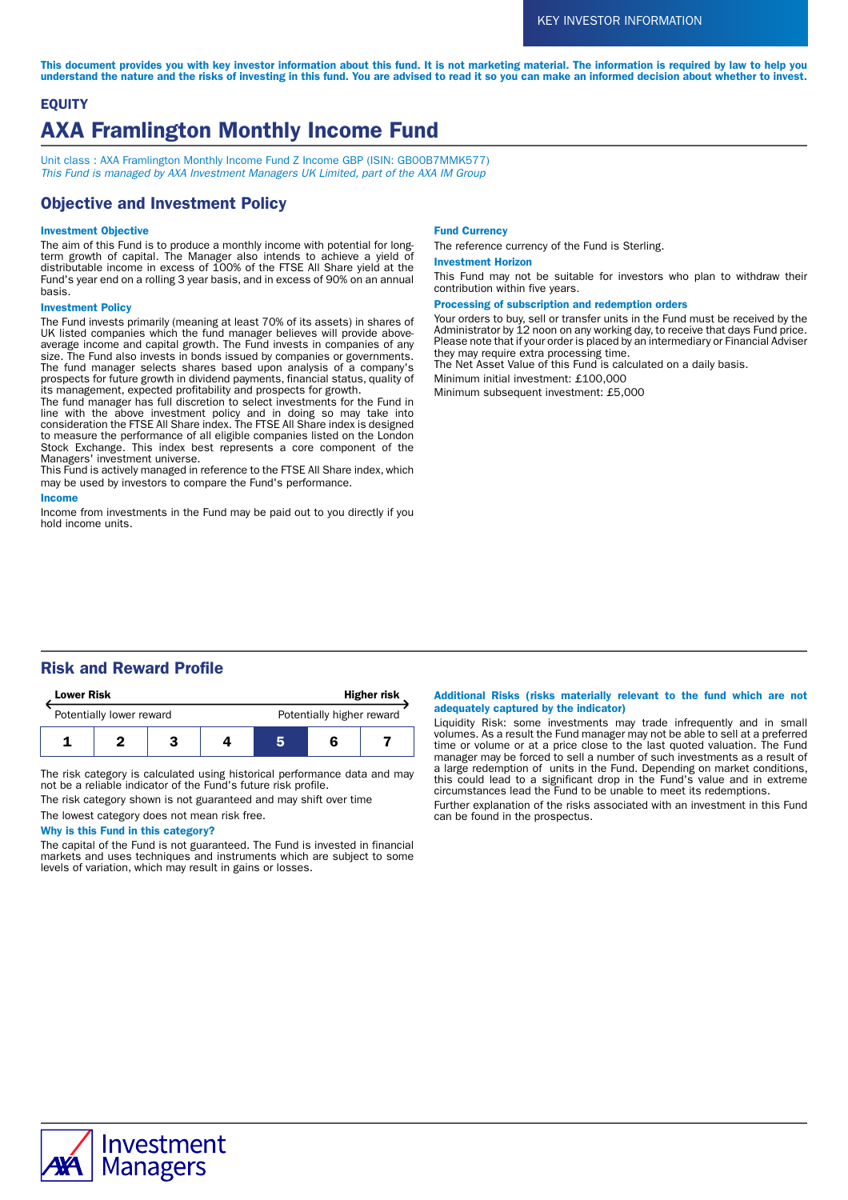This document provides you with key investor information about this fund. It is not marketing material. The information is required by law to help you understand the nature and the risks of investing in this fund. You are advised to read it so you can make an informed decision about whether to invest.

# **EQUITY** AXA Framlington Monthly Income Fund

Unit class : AXA Framlington Monthly Income Fund Z Income GBP (ISIN: GB00B7MMK577) This Fund is managed by AXA Investment Managers UK Limited, part of the AXA IM Group

# Objective and Investment Policy

### Investment Objective

The aim of this Fund is to produce a monthly income with potential for longterm growth of capital. The Manager also intends to achieve a yield of distributable income in excess of 100% of the FTSE All Share yield at the Fund's year end on a rolling 3 year basis, and in excess of 90% on an annual basis.

### Investment Policy

The Fund invests primarily (meaning at least 70% of its assets) in shares of UK listed companies which the fund manager believes will provide aboveaverage income and capital growth. The Fund invests in companies of any size. The Fund also invests in bonds issued by companies or governments. The fund manager selects shares based upon analysis of a company's prospects for future growth in dividend payments, financial status, quality of its management, expected profitability and prospects for growth.

The fund manager has full discretion to select investments for the Fund in line with the above investment policy and in doing so may take into consideration the FTSE All Share index. The FTSE All Share index is designed to measure the performance of all eligible companies listed on the London Stock Exchange. This index best represents a core component of the Managers' investment universe.

This Fund is actively managed in reference to the FTSE All Share index, which may be used by investors to compare the Fund's performance.

### Income

Income from investments in the Fund may be paid out to you directly if you hold income units.

#### Fund Currency

The reference currency of the Fund is Sterling.

### Investment Horizon

This Fund may not be suitable for investors who plan to withdraw their contribution within five years.

### Processing of subscription and redemption orders

Your orders to buy, sell or transfer units in the Fund must be received by the Administrator by 12 noon on any working day, to receive that days Fund price. Please note that if your order is placed by an intermediary or Financial Adviser they may require extra processing time.

The Net Asset Value of this Fund is calculated on a daily basis.

Minimum initial investment: £100,000

Minimum subsequent investment: £5,000

# Risk and Reward Profile

| <b>Lower Risk</b>        |  |  | <b>Higher risk</b> |                           |  |  |
|--------------------------|--|--|--------------------|---------------------------|--|--|
| Potentially lower reward |  |  |                    | Potentially higher reward |  |  |
|                          |  |  |                    |                           |  |  |

The risk category is calculated using historical performance data and may not be a reliable indicator of the Fund's future risk profile.

The risk category shown is not guaranteed and may shift over time

## The lowest category does not mean risk free.

## Why is this Fund in this category?

The capital of the Fund is not guaranteed. The Fund is invested in financial markets and uses techniques and instruments which are subject to some levels of variation, which may result in gains or losses.

### Additional Risks (risks materially relevant to the fund which are not adequately captured by the indicator)

Liquidity Risk: some investments may trade infrequently and in small volumes. As a result the Fund manager may not be able to sell at a preferred time or volume or at a price close to the last quoted valuation. The Fund manager may be forced to sell a number of such investments as a result of a large redemption of units in the Fund. Depending on market conditions, this could lead to a significant drop in the Fund's value and in extreme circumstances lead the Fund to be unable to meet its redemptions.

Further explanation of the risks associated with an investment in this Fund can be found in the prospectus.